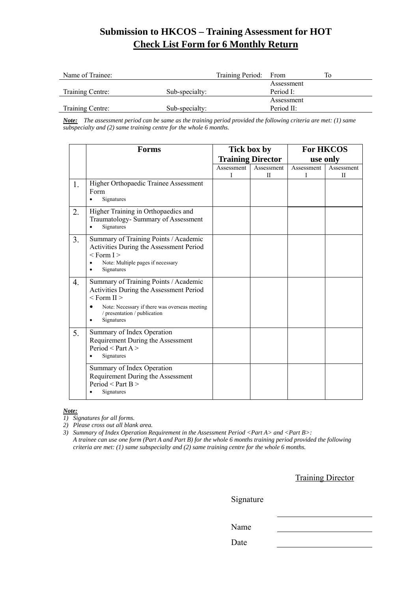### **Submission to HKCOS – Training Assessment for HOT Check List Form for 6 Monthly Return**

| Name of Trainee: |                | Training Period: From |            | Tо |
|------------------|----------------|-----------------------|------------|----|
|                  |                |                       | Assessment |    |
| Training Centre: | Sub-specialty: |                       | Period I:  |    |
|                  |                |                       | Assessment |    |
| Training Centre: | Sub-specialty: |                       | Period II: |    |

*Note: The assessment period can be same as the training period provided the following criteria are met: (1) same subspecialty and (2) same training centre for the whole 6 months.* 

|                  | <b>Forms</b>                                                                                                                                                                                       | Tick box by |                          | <b>For HKCOS</b> |            |
|------------------|----------------------------------------------------------------------------------------------------------------------------------------------------------------------------------------------------|-------------|--------------------------|------------------|------------|
|                  |                                                                                                                                                                                                    |             | <b>Training Director</b> |                  | use only   |
|                  |                                                                                                                                                                                                    | Assessment  | Assessment               | Assessment       | Assessment |
|                  |                                                                                                                                                                                                    | L           | H                        | I                | П          |
| 1.               | Higher Orthopaedic Trainee Assessment<br>Form<br>Signatures                                                                                                                                        |             |                          |                  |            |
| 2.               | Higher Training in Orthopaedics and<br>Traumatology- Summary of Assessment<br>Signatures                                                                                                           |             |                          |                  |            |
| 3.               | Summary of Training Points / Academic<br>Activities During the Assessment Period<br>$<$ Form I $>$<br>Note: Multiple pages if necessary<br>Signatures                                              |             |                          |                  |            |
| $\overline{4}$ . | Summary of Training Points / Academic<br>Activities During the Assessment Period<br>$<$ Form II $>$<br>Note: Necessary if there was overseas meeting<br>/ presentation / publication<br>Signatures |             |                          |                  |            |
| 5.               | Summary of Index Operation<br>Requirement During the Assessment<br>Period < Part $A >$<br>Signatures                                                                                               |             |                          |                  |            |
|                  | Summary of Index Operation<br>Requirement During the Assessment<br>Period < Part $B$ ><br>Signatures                                                                                               |             |                          |                  |            |

#### *Note:*

*1) Signatures for all forms.* 

*2) Please cross out all blank area.* 

*3) Summary of Index Operation Requirement in the Assessment Period <Part A> and <Part B>: A trainee can use one form (Part A and Part B) for the whole 6 months training period provided the following criteria are met: (1) same subspecialty and (2) same training centre for the whole 6 months.* 

Training Director

Signature

Name

Date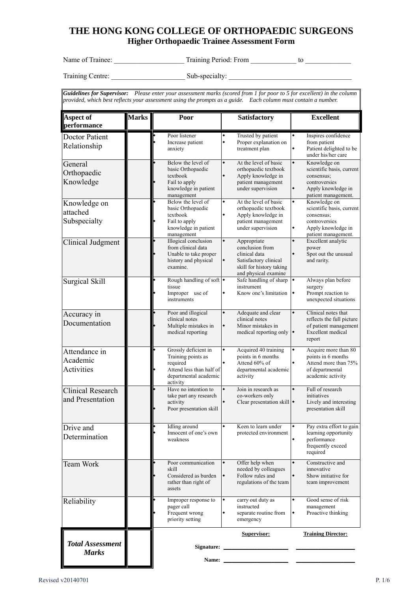### **THE HONG KONG COLLEGE OF ORTHOPAEDIC SURGEONS Higher Orthopaedic Trainee Assessment Form**

Name of Trainee: \_\_\_\_\_\_\_\_\_\_\_\_\_\_\_\_\_\_\_\_ Training Period: From \_\_\_\_\_\_\_\_\_\_\_\_\_ to \_\_\_\_\_\_\_\_\_\_\_\_\_

Training Centre: \_\_\_\_\_\_\_\_\_\_\_\_\_\_\_\_\_\_\_\_\_ Sub-specialty: \_\_\_\_\_\_\_\_\_\_\_\_\_\_\_\_\_\_\_\_\_\_\_\_\_\_\_\_\_\_\_\_\_\_\_

*Guidelines for Supervisor: Please enter your assessment marks (scored from 1 for poor to 5 for excellent) in the column provided, which best reflects your assessment using the prompts as a guide. Each column must contain a number.* 

| <b>Aspect of</b><br>performance              | <b>Marks</b> | Poor                                                                                                                    | Satisfactory                                                                                                                      | <b>Excellent</b>                                                                                                                 |
|----------------------------------------------|--------------|-------------------------------------------------------------------------------------------------------------------------|-----------------------------------------------------------------------------------------------------------------------------------|----------------------------------------------------------------------------------------------------------------------------------|
| <b>Doctor Patient</b><br>Relationship        |              | Poor listener<br>Increase patient<br>anxiety                                                                            | Trusted by patient<br>٠<br>۰<br>Proper explanation on<br>treatment plan                                                           | Inspires confidence<br>from patient<br>۰<br>Patient delighted to be<br>under his/her care                                        |
| General<br>Orthopaedic<br>Knowledge          |              | Below the level of<br>basic Orthopaedic<br>textbook<br>Fail to apply<br>knowledge in patient<br>management              | At the level of basic<br>۰<br>orthopaedic textbook<br>Apply knowledge in<br>patient management<br>under supervision               | Knowledge on<br>۰<br>scientific basis, current<br>consensus;<br>controversies<br>۰<br>Apply knowledge in<br>patient management.  |
| Knowledge on<br>attached<br>Subspecialty     |              | Below the level of<br>basic Orthopaedic<br>textbook<br>Fail to apply<br>knowledge in patient<br>management              | At the level of basic<br>orthopaedic textbook<br>Apply knowledge in<br>patient management<br>under supervision                    | Knowledge on<br>٠<br>scientific basis, current<br>consensus;<br>controversies<br>Apply knowledge in<br>۰<br>patient management.  |
| Clinical Judgment                            |              | Illogical conclusion<br>from clinical data<br>Unable to take proper<br>history and physical<br>examine.                 | ۰<br>Appropriate<br>conclusion from<br>clinical data<br>Satisfactory clinical<br>skill for history taking<br>and physical examine | Excellent analytic<br>۰<br>power<br>Spot out the unusual<br>and rarity.                                                          |
| <b>Surgical Skill</b>                        |              | Rough handling of soft •<br>tissue<br>Improper use of<br>instruments                                                    | Safe handling of sharp<br>instrument<br>Know one's limitation<br>۰                                                                | Always plan before<br>٠<br>surgery<br>Prompt reaction to<br>$\bullet$<br>unexpected situations                                   |
| Accuracy in<br>Documentation                 |              | Poor and illogical<br>clinical notes<br>Multiple mistakes in<br>medical reporting                                       | Adequate and clear<br>۰<br>clinical notes<br>Minor mistakes in<br>۰<br>medical reporting only                                     | Clinical notes that<br>۰<br>reflects the full picture<br>of patient management<br>Excellent medical<br>$\blacklozenge$<br>report |
| Attendance in<br>Academic<br>Activities      |              | Grossly deficient in<br>Training points as<br>required<br>Attend less than half of<br>departmental academic<br>activity | Acquired 40 training<br>٠<br>points in 6 months<br>Attend 60% of<br>departmental academic<br>activity                             | Acquire more than 80<br>points in 6 months<br>Attend more than 75%<br>of departmental<br>academic activity                       |
| <b>Clinical Research</b><br>and Presentation |              | Have no intention to<br>take part any research<br>activity<br>Poor presentation skill                                   | Join in research as<br>۰<br>co-workers only<br>Clear presentation skill $\bullet$                                                 | Full of research<br>۰<br>initiatives<br>Lively and interesting<br>presentation skill                                             |
| Drive and<br>Determination                   |              | Idling around<br>Innocent of one's own<br>weakness                                                                      | Keen to learn under<br>protected environment                                                                                      | ٠<br>Pay extra effort to gain<br>learning opportunity<br>performance<br>frequently exceed<br>required                            |
| Team Work                                    |              | Poor communication<br>skill<br>Considered as burden<br>rather than right of<br>assets                                   | Offer help when<br>needed by colleagues<br>Follow rules and<br>regulations of the team                                            | Constructive and<br>۰<br>innovative<br>Show initiative for<br>team improvement                                                   |
| Reliability                                  |              | Improper response to<br>pager call<br>Frequent wrong<br>priority setting                                                | $\blacklozenge$<br>carry out duty as<br>instructed<br>separate routine from<br>$\blacklozenge$<br>emergency                       | ۰<br>Good sense of risk<br>management<br>Proactive thinking<br>$\blacklozenge$                                                   |
| <b>Total Assessment</b>                      |              |                                                                                                                         | <b>Supervisor:</b>                                                                                                                | <b>Training Director:</b>                                                                                                        |
| <b>Marks</b>                                 |              | Name:                                                                                                                   |                                                                                                                                   |                                                                                                                                  |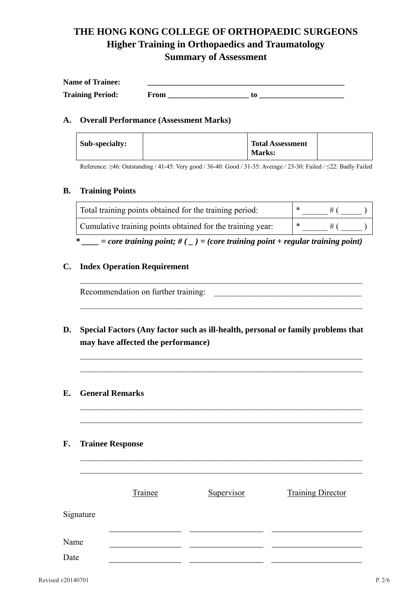# **THE HONG KONG COLLEGE OF ORTHOPAEDIC SURGEONS Higher Training in Orthopaedics and Traumatology Summary of Assessment**

| <b>Name of Trainee:</b> |  |
|-------------------------|--|
| <b>Training Period:</b> |  |

#### **A. Overall Performance (Assessment Marks)**

| Sub-specialty:<br><b>Total Assessment</b><br><b>Marks:</b> |  |
|------------------------------------------------------------|--|
|------------------------------------------------------------|--|

Reference: ≥46: Outstanding / 41-45: Very good / 36-40: Good / 31-35: Average / 23-30: Failed / ≤22: Badly Failed

#### **B. Training Points**

| Total training points obtained for the training period:    |  |  |
|------------------------------------------------------------|--|--|
| Cumulative training points obtained for the training year: |  |  |

*\* \_\_\_\_ = core training point; # ( \_ ) = (core training point + regular training point)* 

\_\_\_\_\_\_\_\_\_\_\_\_\_\_\_\_\_\_\_\_\_\_\_\_\_\_\_\_\_\_\_\_\_\_\_\_\_\_\_\_\_\_\_\_\_\_\_\_\_\_\_\_\_\_\_\_\_\_\_\_\_\_\_\_\_\_\_

### **C. Index Operation Requirement**

Recommendation on further training:

**D. Special Factors (Any factor such as ill-health, personal or family problems that may have affected the performance)** 

 $\mathcal{L}_\text{max} = \mathcal{L}_\text{max} = \mathcal{L}_\text{max} = \mathcal{L}_\text{max} = \mathcal{L}_\text{max} = \mathcal{L}_\text{max} = \mathcal{L}_\text{max} = \mathcal{L}_\text{max} = \mathcal{L}_\text{max} = \mathcal{L}_\text{max} = \mathcal{L}_\text{max} = \mathcal{L}_\text{max} = \mathcal{L}_\text{max} = \mathcal{L}_\text{max} = \mathcal{L}_\text{max} = \mathcal{L}_\text{max} = \mathcal{L}_\text{max} = \mathcal{L}_\text{max} = \mathcal{$ 

 $\mathcal{L}_\text{max} = \mathcal{L}_\text{max} = \mathcal{L}_\text{max} = \mathcal{L}_\text{max} = \mathcal{L}_\text{max} = \mathcal{L}_\text{max} = \mathcal{L}_\text{max} = \mathcal{L}_\text{max} = \mathcal{L}_\text{max} = \mathcal{L}_\text{max} = \mathcal{L}_\text{max} = \mathcal{L}_\text{max} = \mathcal{L}_\text{max} = \mathcal{L}_\text{max} = \mathcal{L}_\text{max} = \mathcal{L}_\text{max} = \mathcal{L}_\text{max} = \mathcal{L}_\text{max} = \mathcal{$  $\mathcal{L}_\text{max} = \mathcal{L}_\text{max} = \mathcal{L}_\text{max} = \mathcal{L}_\text{max} = \mathcal{L}_\text{max} = \mathcal{L}_\text{max} = \mathcal{L}_\text{max} = \mathcal{L}_\text{max} = \mathcal{L}_\text{max} = \mathcal{L}_\text{max} = \mathcal{L}_\text{max} = \mathcal{L}_\text{max} = \mathcal{L}_\text{max} = \mathcal{L}_\text{max} = \mathcal{L}_\text{max} = \mathcal{L}_\text{max} = \mathcal{L}_\text{max} = \mathcal{L}_\text{max} = \mathcal{$ 

 $\mathcal{L}_\text{max} = \mathcal{L}_\text{max} = \mathcal{L}_\text{max} = \mathcal{L}_\text{max} = \mathcal{L}_\text{max} = \mathcal{L}_\text{max} = \mathcal{L}_\text{max} = \mathcal{L}_\text{max} = \mathcal{L}_\text{max} = \mathcal{L}_\text{max} = \mathcal{L}_\text{max} = \mathcal{L}_\text{max} = \mathcal{L}_\text{max} = \mathcal{L}_\text{max} = \mathcal{L}_\text{max} = \mathcal{L}_\text{max} = \mathcal{L}_\text{max} = \mathcal{L}_\text{max} = \mathcal{$  $\mathcal{L}_\text{max} = \mathcal{L}_\text{max} = \mathcal{L}_\text{max} = \mathcal{L}_\text{max} = \mathcal{L}_\text{max} = \mathcal{L}_\text{max} = \mathcal{L}_\text{max} = \mathcal{L}_\text{max} = \mathcal{L}_\text{max} = \mathcal{L}_\text{max} = \mathcal{L}_\text{max} = \mathcal{L}_\text{max} = \mathcal{L}_\text{max} = \mathcal{L}_\text{max} = \mathcal{L}_\text{max} = \mathcal{L}_\text{max} = \mathcal{L}_\text{max} = \mathcal{L}_\text{max} = \mathcal{$ 

 $\overline{\phantom{a}}$  , and the contribution of the contribution of the contribution of the contribution of the contribution of the contribution of the contribution of the contribution of the contribution of the contribution of the

- **E. General Remarks**
- **F. Trainee Response**

|           | Trainee | Supervisor | <b>Training Director</b> |
|-----------|---------|------------|--------------------------|
| Signature |         |            |                          |
| Name      |         |            |                          |
| Date      |         |            |                          |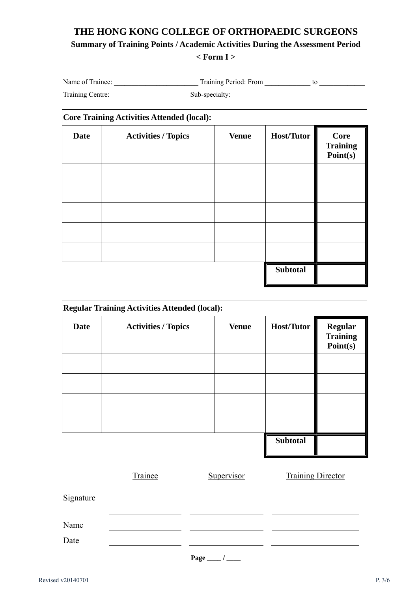# **THE HONG KONG COLLEGE OF ORTHOPAEDIC SURGEONS Summary of Training Points / Academic Activities During the Assessment Period < Form I >**

| Name of Trainee: | Training Period: From |  |
|------------------|-----------------------|--|
| Training Centre: | Sub-specialty:        |  |

|             | Core Training Activities Attended (local): |              |                   |                                            |  |  |
|-------------|--------------------------------------------|--------------|-------------------|--------------------------------------------|--|--|
| <b>Date</b> | <b>Activities / Topics</b>                 | <b>Venue</b> | <b>Host/Tutor</b> | <b>Core</b><br><b>Training</b><br>Point(s) |  |  |
|             |                                            |              |                   |                                            |  |  |
|             |                                            |              |                   |                                            |  |  |
|             |                                            |              |                   |                                            |  |  |
|             |                                            |              |                   |                                            |  |  |
|             |                                            |              | <b>Subtotal</b>   |                                            |  |  |

| <b>Regular Training Activities Attended (local):</b> |                            |              |                   |                                               |
|------------------------------------------------------|----------------------------|--------------|-------------------|-----------------------------------------------|
| <b>Date</b>                                          | <b>Activities / Topics</b> | <b>Venue</b> | <b>Host/Tutor</b> | <b>Regular</b><br><b>Training</b><br>Point(s) |
|                                                      |                            |              |                   |                                               |
|                                                      |                            |              |                   |                                               |
|                                                      |                            |              |                   |                                               |
|                                                      |                            |              |                   |                                               |
|                                                      |                            |              | <b>Subtotal</b>   |                                               |

|           | Trainee | Supervisor | <b>Training Director</b> |
|-----------|---------|------------|--------------------------|
| Signature |         |            |                          |
| Name      |         |            |                          |
| Date      |         |            |                          |
|           |         | Page       |                          |

Revised v20140701 P. 3/6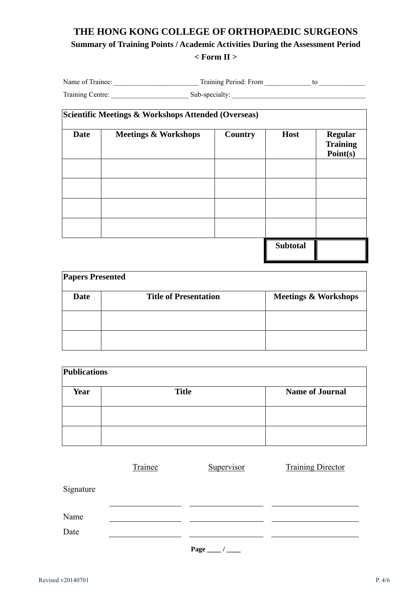### **THE HONG KONG COLLEGE OF ORTHOPAEDIC SURGEONS Summary of Training Points / Academic Activities During the Assessment Period < Form II >**

| Name of Trainee: | Training Period: From |  |
|------------------|-----------------------|--|
| Training Centre: | Sub-specialty:        |  |

| Scientific Meetings & Workshops Attended (Overseas) |                                 |         |                 |                                               |  |  |
|-----------------------------------------------------|---------------------------------|---------|-----------------|-----------------------------------------------|--|--|
| <b>Date</b>                                         | <b>Meetings &amp; Workshops</b> | Country | <b>Host</b>     | <b>Regular</b><br><b>Training</b><br>Point(s) |  |  |
|                                                     |                                 |         |                 |                                               |  |  |
|                                                     |                                 |         |                 |                                               |  |  |
|                                                     |                                 |         |                 |                                               |  |  |
|                                                     |                                 |         |                 |                                               |  |  |
|                                                     |                                 |         | <b>Subtotal</b> |                                               |  |  |

| <b>Papers Presented</b> |                              |                                 |  |  |  |  |
|-------------------------|------------------------------|---------------------------------|--|--|--|--|
| <b>Date</b>             | <b>Title of Presentation</b> | <b>Meetings &amp; Workshops</b> |  |  |  |  |
|                         |                              |                                 |  |  |  |  |
|                         |                              |                                 |  |  |  |  |
|                         |                              |                                 |  |  |  |  |

| <b>Publications</b> |              |                        |  |  |  |
|---------------------|--------------|------------------------|--|--|--|
| Year                | <b>Title</b> | <b>Name of Journal</b> |  |  |  |
|                     |              |                        |  |  |  |
|                     |              |                        |  |  |  |
|                     |              |                        |  |  |  |

|           | Trainee | Supervisor | <b>Training Director</b> |
|-----------|---------|------------|--------------------------|
| Signature |         |            |                          |
| Name      |         |            |                          |
| Date      |         |            |                          |
|           |         | Page       |                          |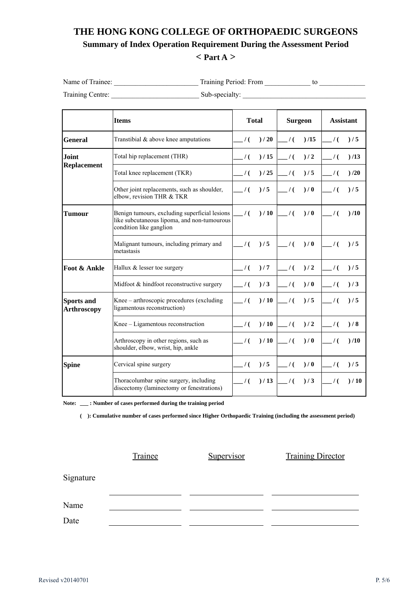### **THE HONG KONG COLLEGE OF ORTHOPAEDIC SURGEONS Summary of Index Operation Requirement During the Assessment Period < Part A >**

| Name of Trainee: | Training Period: From |  |
|------------------|-----------------------|--|
| Training Centre: | Sub-specialty:        |  |

|                                         | <b>Items</b>                                                                                                                             | <b>Total</b>  |      | <b>Surgeon</b> |     | <b>Assistant</b>             |      |
|-----------------------------------------|------------------------------------------------------------------------------------------------------------------------------------------|---------------|------|----------------|-----|------------------------------|------|
| <b>General</b>                          | Transtibial $\&$ above knee amputations                                                                                                  | $\frac{1}{2}$ | )/20 | $\frac{1}{2}$  | /15 | $\frac{1}{2}$                | )/5  |
| <b>Joint</b>                            | Total hip replacement (THR)                                                                                                              | $\frac{1}{2}$ | )/15 | $\frac{1}{2}$  | )/2 | $\frac{1}{2}$                | )/13 |
| <b>Replacement</b>                      | Total knee replacement (TKR)                                                                                                             | $\frac{1}{2}$ | )/25 | $\frac{1}{2}$  | )/5 | $\frac{1}{2}$                | /20  |
|                                         | Other joint replacements, such as shoulder,<br>elbow, revision THR & TKR                                                                 | $\frac{1}{2}$ | )/5  | $\frac{1}{2}$  | )/0 | $\overline{\phantom{0}}$ / ( | )/5  |
| Tumour                                  | Benign tumours, excluding superficial lesions<br>$\frac{1}{2}$<br>like subcutaneous lipoma, and non-tumourous<br>condition like ganglion |               | )/10 | $\frac{1}{2}$  | )/0 | $\frac{1}{2}$                | )/10 |
|                                         | Malignant tumours, including primary and<br>metastasis                                                                                   | $\frac{1}{2}$ | )/5  | $\frac{1}{2}$  | )/0 | $\frac{1}{2}$                | )/5  |
| Foot & Ankle                            | Hallux & lesser toe surgery                                                                                                              | $\frac{1}{2}$ | )/7  | $\frac{1}{2}$  | )/2 | $\frac{1}{2}$                | )/5  |
|                                         | Midfoot & hindfoot reconstructive surgery                                                                                                | $\frac{1}{2}$ | )/3  | $\frac{1}{2}$  | )/0 | $\frac{1}{2}$                | )/3  |
| <b>Sports and</b><br><b>Arthroscopy</b> | Knee - arthroscopic procedures (excluding<br>ligamentous reconstruction)                                                                 |               | )/10 | $\frac{1}{2}$  | )/5 | $\prime$ (                   | )/5  |
|                                         | Knee - Ligamentous reconstruction                                                                                                        | $\frac{1}{2}$ | )/10 | $\frac{1}{2}$  | )/2 | $\prime$ (                   | )/8  |
|                                         | Arthroscopy in other regions, such as<br>shoulder, elbow, wrist, hip, ankle                                                              | $\frac{1}{2}$ | )/10 | $\frac{1}{2}$  | )/0 | $\prime$ (                   | )/10 |
| <b>Spine</b>                            | Cervical spine surgery                                                                                                                   | $\frac{1}{2}$ | )/5  | $\frac{1}{2}$  | )/0 | $\frac{1}{2}$                | )/5  |
|                                         | Thoracolumbar spine surgery, including<br>discectomy (laminectomy or fenestrations)                                                      | $\frac{1}{2}$ | )/13 | $\frac{1}{2}$  | )/3 | $\frac{1}{2}$                | )/10 |

**Note: \_\_\_ : Number of cases performed during the training period** 

**( ): Cumulative number of cases performed since Higher Orthopaedic Training (including the assessment period)** 

Trainee Supervisor Training Director

Signature

Name

Date